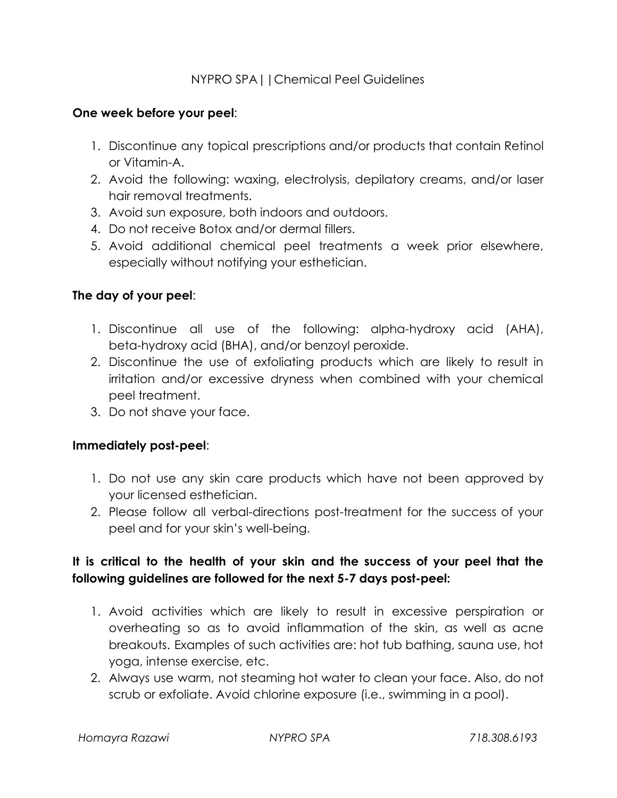### NYPRO SPA||Chemical Peel Guidelines

#### **One week before your peel**:

- 1. Discontinue any topical prescriptions and/or products that contain Retinol or Vitamin-A.
- 2. Avoid the following: waxing, electrolysis, depilatory creams, and/or laser hair removal treatments.
- 3. Avoid sun exposure, both indoors and outdoors.
- 4. Do not receive Botox and/or dermal fillers.
- 5. Avoid additional chemical peel treatments a week prior elsewhere, especially without notifying your esthetician.

#### **The day of your peel**:

- 1. Discontinue all use of the following: alpha-hydroxy acid (AHA), beta-hydroxy acid (BHA), and/or benzoyl peroxide.
- 2. Discontinue the use of exfoliating products which are likely to result in irritation and/or excessive dryness when combined with your chemical peel treatment.
- 3. Do not shave your face.

#### **Immediately post-peel**:

- 1. Do not use any skin care products which have not been approved by your licensed esthetician.
- 2. Please follow all verbal-directions post-treatment for the success of your peel and for your skin's well-being.

## **It is critical to the health of your skin and the success of your peel that the following guidelines are followed for the next 5-7 days post-peel:**

- 1. Avoid activities which are likely to result in excessive perspiration or overheating so as to avoid inflammation of the skin, as well as acne breakouts. Examples of such activities are: hot tub bathing, sauna use, hot yoga, intense exercise, etc.
- 2. Always use warm, not steaming hot water to clean your face. Also, do not scrub or exfoliate. Avoid chlorine exposure (i.e., swimming in a pool).